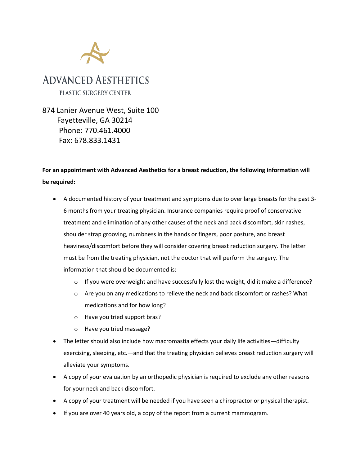

874 Lanier Avenue West, Suite 100 Fayetteville, GA 30214 Phone: 770.461.4000 Fax: 678.833.1431

## **For an appointment with Advanced Aesthetics for a breast reduction, the following information will be required:**

- A documented history of your treatment and symptoms due to over large breasts for the past 3- 6 months from your treating physician. Insurance companies require proof of conservative treatment and elimination of any other causes of the neck and back discomfort, skin rashes, shoulder strap grooving, numbness in the hands or fingers, poor posture, and breast heaviness/discomfort before they will consider covering breast reduction surgery. The letter must be from the treating physician, not the doctor that will perform the surgery. The information that should be documented is:
	- $\circ$  If you were overweight and have successfully lost the weight, did it make a difference?
	- o Are you on any medications to relieve the neck and back discomfort or rashes? What medications and for how long?
	- o Have you tried support bras?
	- o Have you tried massage?
- The letter should also include how macromastia effects your daily life activities—difficulty exercising, sleeping, etc.—and that the treating physician believes breast reduction surgery will alleviate your symptoms.
- A copy of your evaluation by an orthopedic physician is required to exclude any other reasons for your neck and back discomfort.
- A copy of your treatment will be needed if you have seen a chiropractor or physical therapist.
- If you are over 40 years old, a copy of the report from a current mammogram.